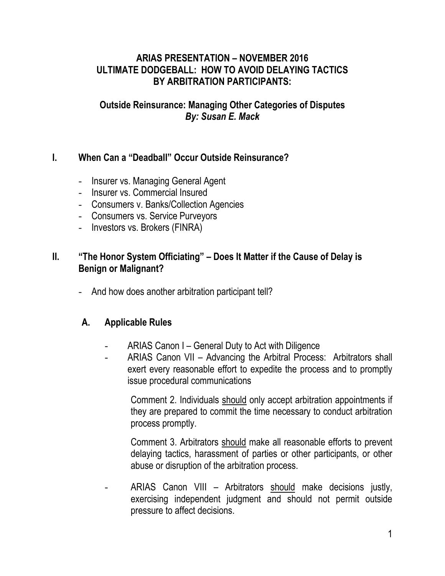### **ARIAS PRESENTATION – NOVEMBER 2016 ULTIMATE DODGEBALL: HOW TO AVOID DELAYING TACTICS BY ARBITRATION PARTICIPANTS:**

### **Outside Reinsurance: Managing Other Categories of Disputes** *By: Susan E. Mack*

## **I. When Can a "Deadball" Occur Outside Reinsurance?**

- Insurer vs. Managing General Agent
- Insurer vs. Commercial Insured
- Consumers v. Banks/Collection Agencies
- Consumers vs. Service Purveyors
- Investors vs. Brokers (FINRA)

### **II. "The Honor System Officiating" – Does It Matter if the Cause of Delay is Benign or Malignant?**

- And how does another arbitration participant tell?

### **A. Applicable Rules**

- ARIAS Canon I General Duty to Act with Diligence
- ARIAS Canon VII Advancing the Arbitral Process: Arbitrators shall exert every reasonable effort to expedite the process and to promptly issue procedural communications

Comment 2. Individuals should only accept arbitration appointments if they are prepared to commit the time necessary to conduct arbitration process promptly.

Comment 3. Arbitrators should make all reasonable efforts to prevent delaying tactics, harassment of parties or other participants, or other abuse or disruption of the arbitration process.

ARIAS Canon VIII – Arbitrators should make decisions justly, exercising independent judgment and should not permit outside pressure to affect decisions.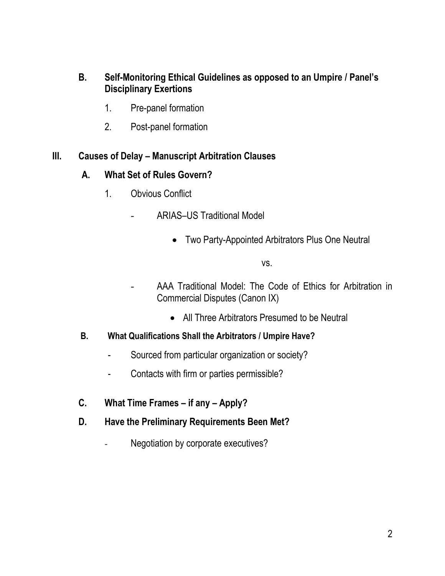### **B. Self-Monitoring Ethical Guidelines as opposed to an Umpire / Panel's Disciplinary Exertions**

- 1. Pre-panel formation
- 2. Post-panel formation

#### **III. Causes of Delay – Manuscript Arbitration Clauses**

#### **A. What Set of Rules Govern?**

- 1. Obvious Conflict
	- ARIAS–US Traditional Model
		- Two Party-Appointed Arbitrators Plus One Neutral

vs.

- AAA Traditional Model: The Code of Ethics for Arbitration in Commercial Disputes (Canon IX)
	- All Three Arbitrators Presumed to be Neutral
- **B. What Qualifications Shall the Arbitrators / Umpire Have?**
	- Sourced from particular organization or society?
	- Contacts with firm or parties permissible?
- **C. What Time Frames – if any – Apply?**
- **D. Have the Preliminary Requirements Been Met?**
	- Negotiation by corporate executives?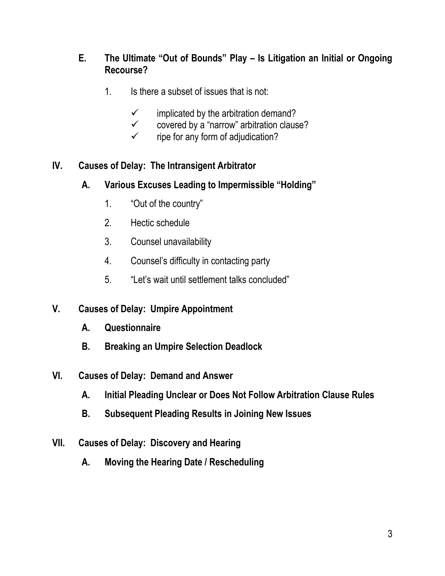## **E. The Ultimate "Out of Bounds" Play – Is Litigation an Initial or Ongoing Recourse?**

- 1. Is there a subset of issues that is not:
	- $\checkmark$  implicated by the arbitration demand?
	- $\checkmark$  covered by a "narrow" arbitration clause?
	- $\checkmark$  ripe for any form of adjudication?

# **IV. Causes of Delay: The Intransigent Arbitrator**

- **A. Various Excuses Leading to Impermissible "Holding"**
	- 1. "Out of the country"
	- 2. Hectic schedule
	- 3. Counsel unavailability
	- 4. Counsel's difficulty in contacting party
	- 5. "Let's wait until settlement talks concluded"

# **V. Causes of Delay: Umpire Appointment**

- **A. Questionnaire**
- **B. Breaking an Umpire Selection Deadlock**
- **VI. Causes of Delay: Demand and Answer**
	- **A. Initial Pleading Unclear or Does Not Follow Arbitration Clause Rules**
	- **B. Subsequent Pleading Results in Joining New Issues**
- **VII. Causes of Delay: Discovery and Hearing**
	- **A. Moving the Hearing Date / Rescheduling**